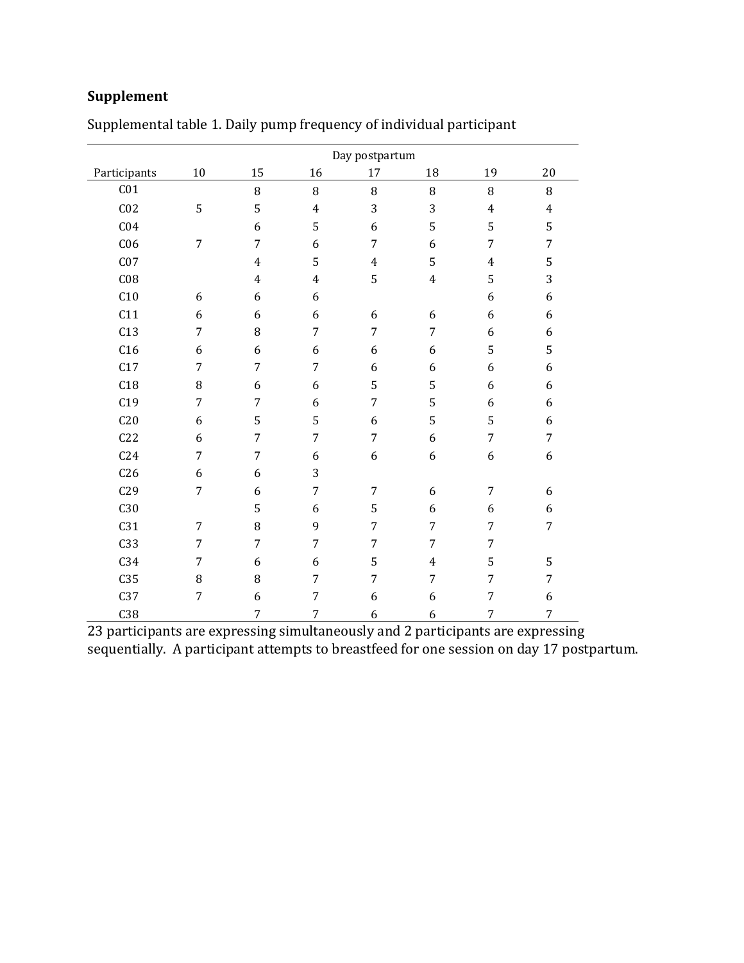## **Supplement**

|                 |                | Day postpartum   |                |                |                  |                |                |
|-----------------|----------------|------------------|----------------|----------------|------------------|----------------|----------------|
| Participants    | 10             | 15               | 16             | 17             | 18               | 19             | 20             |
| C <sub>01</sub> |                | 8                | 8              | 8              | 8                | 8              | 8              |
| C <sub>02</sub> | 5              | 5                | $\overline{4}$ | 3              | 3                | $\overline{4}$ | $\overline{4}$ |
| C <sub>04</sub> |                | $\boldsymbol{6}$ | 5              | 6              | 5                | 5              | 5              |
| C <sub>06</sub> | $\overline{7}$ | $\overline{7}$   | 6              | $\overline{7}$ | 6                | $\overline{7}$ | $\overline{7}$ |
| C <sub>07</sub> |                | $\overline{4}$   | 5              | $\overline{4}$ | 5                | $\overline{4}$ | 5              |
| C <sub>08</sub> |                | $\overline{4}$   | $\overline{4}$ | 5              | $\overline{4}$   | 5              | 3              |
| C10             | 6              | 6                | 6              |                |                  | 6              | 6              |
| C11             | 6              | 6                | 6              | 6              | 6                | 6              | 6              |
| C13             | 7              | 8                | $\overline{7}$ | 7              | $\boldsymbol{7}$ | 6              | 6              |
| C16             | 6              | 6                | 6              | 6              | 6                | 5              | 5              |
| C17             | 7              | 7                | $\overline{7}$ | 6              | 6                | 6              | 6              |
| C18             | 8              | 6                | 6              | 5              | 5                | 6              | 6              |
| C19             | $\overline{7}$ | $\overline{7}$   | 6              | $\overline{7}$ | 5                | 6              | 6              |
| C20             | 6              | 5                | 5              | 6              | 5                | 5              | 6              |
| C22             | 6              | $\overline{7}$   | $\overline{7}$ | $\overline{7}$ | 6                | $\overline{7}$ | $\overline{7}$ |
| C <sub>24</sub> | 7              | $\overline{7}$   | 6              | 6              | 6                | 6              | 6              |
| C <sub>26</sub> | 6              | 6                | 3              |                |                  |                |                |
| C29             | $\overline{7}$ | 6                | $\overline{7}$ | $\overline{7}$ | 6                | $\overline{7}$ | 6              |
| C30             |                | 5                | 6              | 5              | 6                | 6              | 6              |
| C31             | $\overline{7}$ | 8                | 9              | $\overline{7}$ | $\overline{7}$   | $\overline{7}$ | $\overline{7}$ |
| C33             | $\overline{7}$ | $\overline{7}$   | $\overline{7}$ | $\overline{7}$ | $\overline{7}$   | $\overline{7}$ |                |
| C34             | $\overline{7}$ | 6                | 6              | 5              | $\overline{4}$   | 5              | 5              |
| C <sub>35</sub> | 8              | 8                | $\overline{7}$ | $\overline{7}$ | $\overline{7}$   | 7              | $\overline{7}$ |
| C37             | $\overline{7}$ | 6                | $\overline{7}$ | 6              | 6                | $\overline{7}$ | 6              |
| C38             |                | 7                | $\overline{7}$ | 6              | 6                | $\overline{7}$ | 7              |

Supplemental table 1. Daily pump frequency of individual participant

23 participants are expressing simultaneously and 2 participants are expressing sequentially. A participant attempts to breastfeed for one session on day 17 postpartum.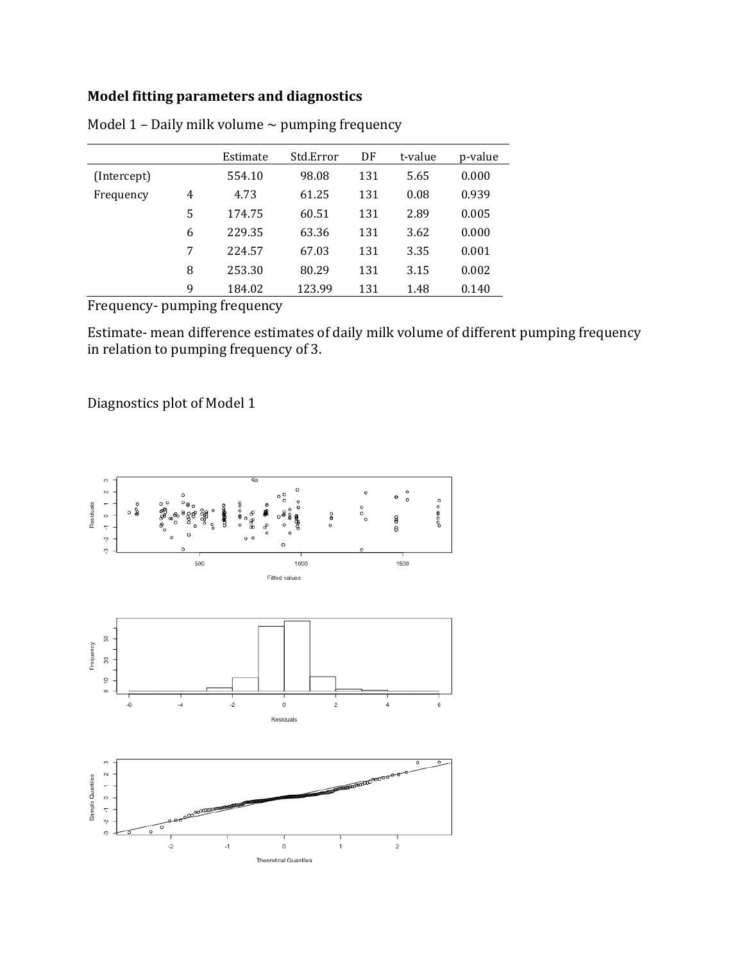## **Model fitting parameters and diagnostics**

|                          |   | Estimate | Std.Error | DF  | t-value | p-value |
|--------------------------|---|----------|-----------|-----|---------|---------|
| (Intercept)              |   | 554.10   | 98.08     | 131 | 5.65    | 0.000   |
| Frequency                | 4 | 4.73     | 61.25     | 131 | 0.08    | 0.939   |
|                          | 5 | 174.75   | 60.51     | 131 | 2.89    | 0.005   |
|                          | 6 | 229.35   | 63.36     | 131 | 3.62    | 0.000   |
|                          | 7 | 224.57   | 67.03     | 131 | 3.35    | 0.001   |
|                          | 8 | 253.30   | 80.29     | 131 | 3.15    | 0.002   |
|                          | 9 | 184.02   | 123.99    | 131 | 1.48    | 0.140   |
| $\overline{\phantom{0}}$ |   |          |           |     |         |         |

Model 1 – Daily milk volume  $\sim$  pumping frequency

Frequency- pumping frequency

Estimate- mean difference estimates of daily milk volume of different pumping frequency in relation to pumping frequency of 3.

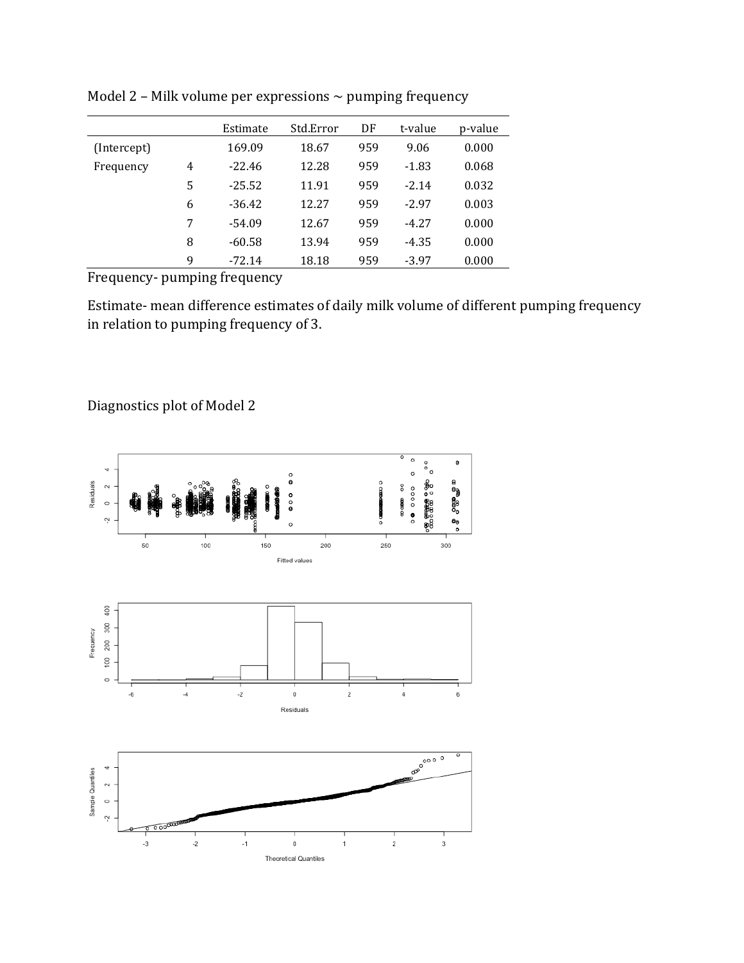|             |   | Estimate | Std.Error | DF  | t-value | p-value |
|-------------|---|----------|-----------|-----|---------|---------|
| (Intercept) |   | 169.09   | 18.67     | 959 | 9.06    | 0.000   |
| Frequency   | 4 | $-22.46$ | 12.28     | 959 | $-1.83$ | 0.068   |
|             | 5 | $-25.52$ | 11.91     | 959 | $-2.14$ | 0.032   |
|             | 6 | $-36.42$ | 12.27     | 959 | $-2.97$ | 0.003   |
|             | 7 | $-54.09$ | 12.67     | 959 | $-4.27$ | 0.000   |
|             | 8 | $-60.58$ | 13.94     | 959 | $-4.35$ | 0.000   |
|             | 9 | $-72.14$ | 18.18     | 959 | $-3.97$ | 0.000   |

Model 2 – Milk volume per expressions  $\sim$  pumping frequency

Frequency- pumping frequency

Estimate- mean difference estimates of daily milk volume of different pumping frequency in relation to pumping frequency of 3.

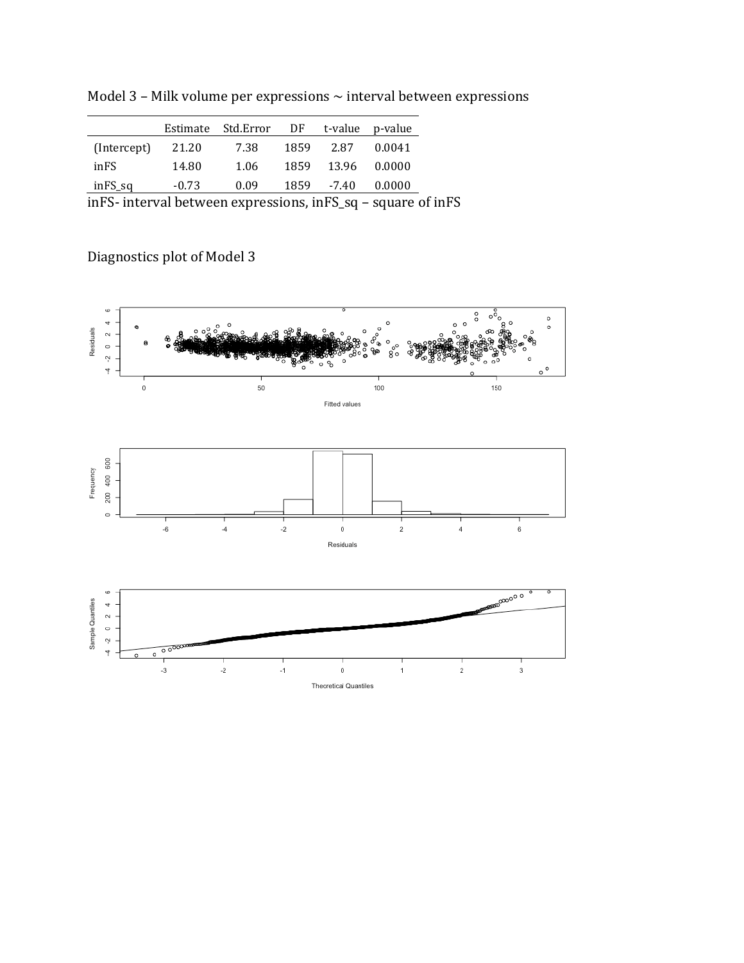Model 3 – Milk volume per expressions  $\sim$  interval between expressions

|             | Estimate | Std.Error | DF   |             | t-value p-value |
|-------------|----------|-----------|------|-------------|-----------------|
| (Intercept) | 21.20    | 7.38      | 1859 | 2.87        | 0.0041          |
| inFS        | 14.80    | 1.06      | 1859 | 13.96       | 0.0000          |
| inFS_sq     | $-0.73$  | 0.09      |      | 1859 - 7.40 | 0.0000          |
|             |          |           |      |             |                 |

inFS- interval between expressions, inFS\_sq – square of inFS